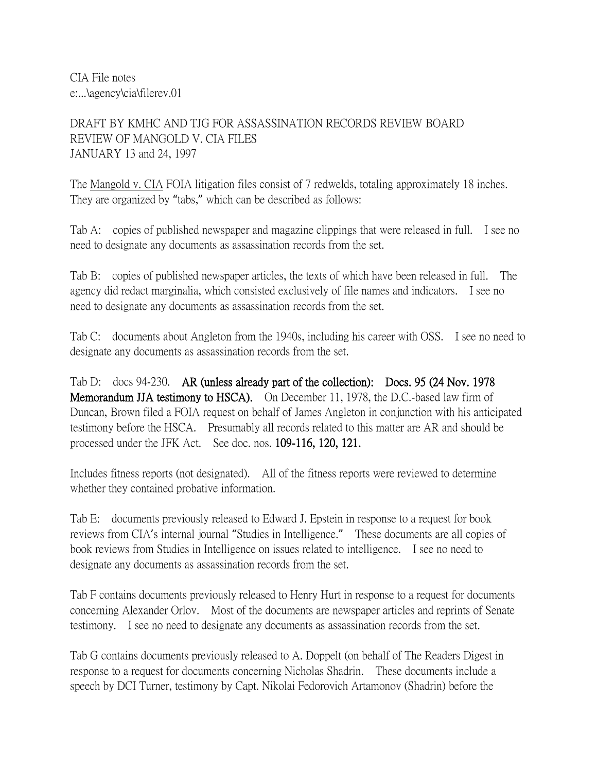CIA File notes e:...\agency\cia\filerev.01

DRAFT BY KMHC AND TJG FOR ASSASSINATION RECORDS REVIEW BOARD REVIEW OF MANGOLD V. CIA FILES JANUARY 13 and 24, 1997

The Mangold v. CIA FOIA litigation files consist of 7 redwelds, totaling approximately 18 inches. They are organized by "tabs," which can be described as follows:

Tab A: copies of published newspaper and magazine clippings that were released in full. I see no need to designate any documents as assassination records from the set.

Tab B: copies of published newspaper articles, the texts of which have been released in full. The agency did redact marginalia, which consisted exclusively of file names and indicators. I see no need to designate any documents as assassination records from the set.

Tab C: documents about Angleton from the 1940s, including his career with OSS. I see no need to designate any documents as assassination records from the set.

Tab D: docs 94-230. AR (unless already part of the collection): Docs. 95 (24 Nov. 1978 Memorandum JJA testimony to HSCA). On December 11, 1978, the D.C.-based law firm of Duncan, Brown filed a FOIA request on behalf of James Angleton in conjunction with his anticipated testimony before the HSCA. Presumably all records related to this matter are AR and should be processed under the JFK Act. See doc. nos. 109-116, 120, 121.

Includes fitness reports (not designated). All of the fitness reports were reviewed to determine whether they contained probative information.

Tab E: documents previously released to Edward J. Epstein in response to a request for book reviews from CIA's internal journal "Studies in Intelligence." These documents are all copies of book reviews from Studies in Intelligence on issues related to intelligence. I see no need to designate any documents as assassination records from the set.

Tab F contains documents previously released to Henry Hurt in response to a request for documents concerning Alexander Orlov. Most of the documents are newspaper articles and reprints of Senate testimony. I see no need to designate any documents as assassination records from the set.

Tab G contains documents previously released to A. Doppelt (on behalf of The Readers Digest in response to a request for documents concerning Nicholas Shadrin. These documents include a speech by DCI Turner, testimony by Capt. Nikolai Fedorovich Artamonov (Shadrin) before the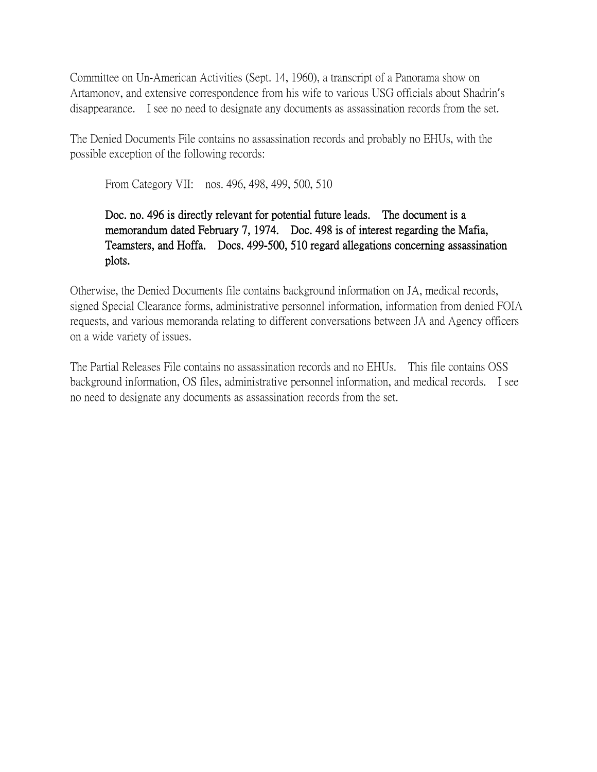Committee on Un-American Activities (Sept. 14, 1960), a transcript of a Panorama show on Artamonov, and extensive correspondence from his wife to various USG officials about Shadrin's disappearance. I see no need to designate any documents as assassination records from the set.

The Denied Documents File contains no assassination records and probably no EHUs, with the possible exception of the following records:

From Category VII: nos. 496, 498, 499, 500, 510

## Doc. no. 496 is directly relevant for potential future leads. The document is a memorandum dated February 7, 1974. Doc. 498 is of interest regarding the Mafia, Teamsters, and Hoffa. Docs. 499-500, 510 regard allegations concerning assassination plots.

Otherwise, the Denied Documents file contains background information on JA, medical records, signed Special Clearance forms, administrative personnel information, information from denied FOIA requests, and various memoranda relating to different conversations between JA and Agency officers on a wide variety of issues.

The Partial Releases File contains no assassination records and no EHUs. This file contains OSS background information, OS files, administrative personnel information, and medical records. I see no need to designate any documents as assassination records from the set.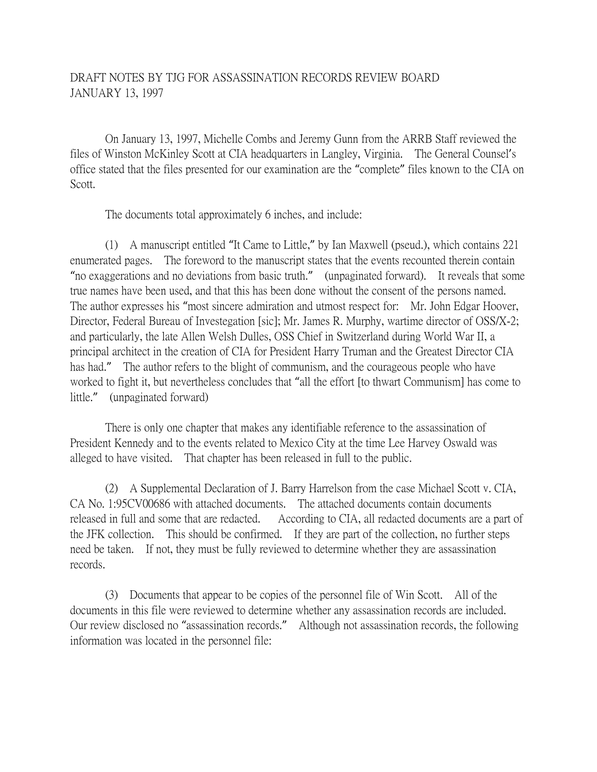## DRAFT NOTES BY TJG FOR ASSASSINATION RECORDS REVIEW BOARD JANUARY 13, 1997

On January 13, 1997, Michelle Combs and Jeremy Gunn from the ARRB Staff reviewed the files of Winston McKinley Scott at CIA headquarters in Langley, Virginia. The General Counsel's office stated that the files presented for our examination are the "complete" files known to the CIA on Scott.

The documents total approximately 6 inches, and include:

(1) A manuscript entitled "It Came to Little," by Ian Maxwell (pseud.), which contains 221 enumerated pages. The foreword to the manuscript states that the events recounted therein contain "no exaggerations and no deviations from basic truth." (unpaginated forward). It reveals that some true names have been used, and that this has been done without the consent of the persons named. The author expresses his "most sincere admiration and utmost respect for: Mr. John Edgar Hoover, Director, Federal Bureau of Investegation [sic]; Mr. James R. Murphy, wartime director of OSS/X-2; and particularly, the late Allen Welsh Dulles, OSS Chief in Switzerland during World War II, a principal architect in the creation of CIA for President Harry Truman and the Greatest Director CIA has had." The author refers to the blight of communism, and the courageous people who have worked to fight it, but nevertheless concludes that "all the effort [to thwart Communism] has come to little." (unpaginated forward)

There is only one chapter that makes any identifiable reference to the assassination of President Kennedy and to the events related to Mexico City at the time Lee Harvey Oswald was alleged to have visited. That chapter has been released in full to the public.

(2) A Supplemental Declaration of J. Barry Harrelson from the case Michael Scott v. CIA, CA No. 1:95CV00686 with attached documents. The attached documents contain documents released in full and some that are redacted. According to CIA, all redacted documents are a part of the JFK collection. This should be confirmed. If they are part of the collection, no further steps need be taken. If not, they must be fully reviewed to determine whether they are assassination records.

(3) Documents that appear to be copies of the personnel file of Win Scott. All of the documents in this file were reviewed to determine whether any assassination records are included. Our review disclosed no "assassination records." Although not assassination records, the following information was located in the personnel file: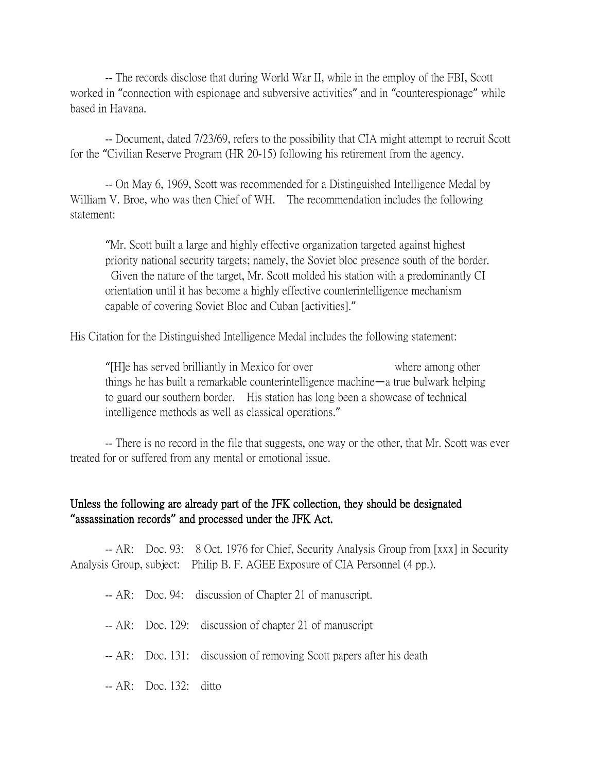-- The records disclose that during World War II, while in the employ of the FBI, Scott worked in "connection with espionage and subversive activities" and in "counterespionage" while based in Havana.

-- Document, dated 7/23/69, refers to the possibility that CIA might attempt to recruit Scott for the "Civilian Reserve Program (HR 20-15) following his retirement from the agency.

-- On May 6, 1969, Scott was recommended for a Distinguished Intelligence Medal by William V. Broe, who was then Chief of WH. The recommendation includes the following statement:

"Mr. Scott built a large and highly effective organization targeted against highest priority national security targets; namely, the Soviet bloc presence south of the border. Given the nature of the target, Mr. Scott molded his station with a predominantly CI orientation until it has become a highly effective counterintelligence mechanism capable of covering Soviet Bloc and Cuban [activities]."

His Citation for the Distinguished Intelligence Medal includes the following statement:

"[H]e has served brilliantly in Mexico for over where among other things he has built a remarkable counterintelligence machine—a true bulwark helping to guard our southern border. His station has long been a showcase of technical intelligence methods as well as classical operations."

-- There is no record in the file that suggests, one way or the other, that Mr. Scott was ever treated for or suffered from any mental or emotional issue.

## Unless the following are already part of the JFK collection, they should be designated **"**assassination records**"** and processed under the JFK Act.

-- AR: Doc. 93: 8 Oct. 1976 for Chief, Security Analysis Group from [xxx] in Security Analysis Group, subject: Philip B. F. AGEE Exposure of CIA Personnel (4 pp.).

-- AR: Doc. 94: discussion of Chapter 21 of manuscript.

- -- AR: Doc. 129: discussion of chapter 21 of manuscript
- -- AR: Doc. 131: discussion of removing Scott papers after his death
- -- AR: Doc. 132: ditto